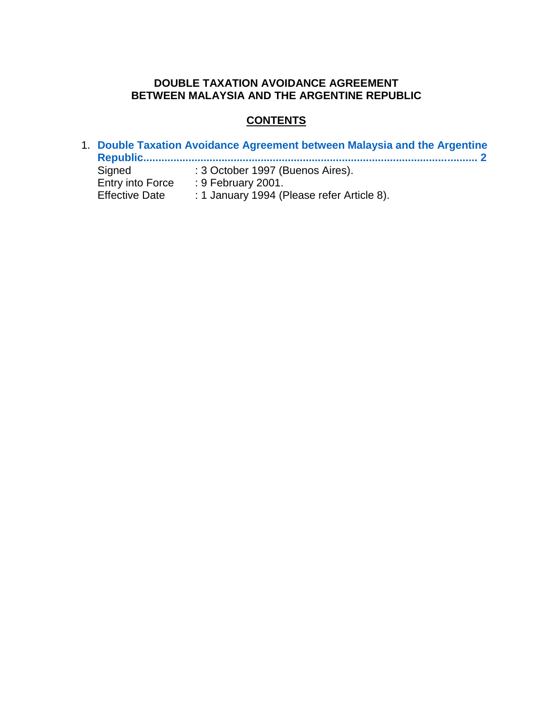## **DOUBLE TAXATION AVOIDANCE AGREEMENT BETWEEN MALAYSIA AND THE ARGENTINE REPUBLIC**

# **CONTENTS**

1. **[Double Taxation Avoidance Agreement between Malaysia and the Argentine](#page-1-0) [Republic...............................................................................................................](#page-1-0) 2** Signed : 3 October 1997 (Buenos Aires). Entry into Force : 9 February 2001. Effective Date : 1 January 1994 (Please refer Article 8).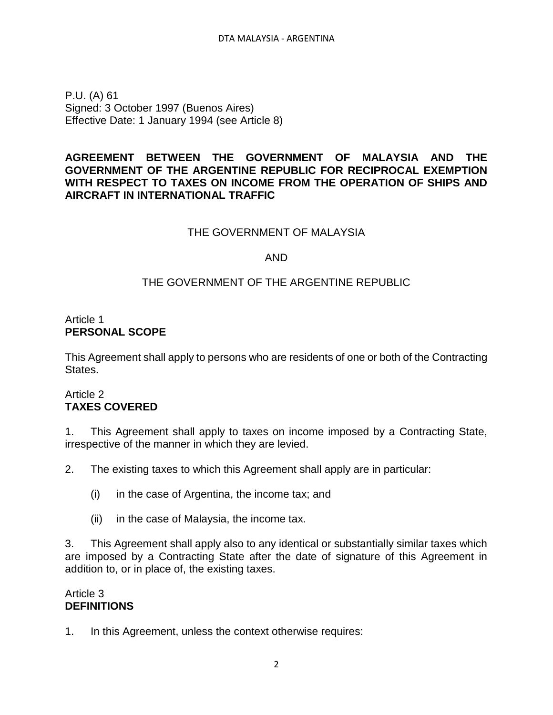<span id="page-1-0"></span>P.U. (A) 61 Signed: 3 October 1997 (Buenos Aires) Effective Date: 1 January 1994 (see Article 8)

## **AGREEMENT BETWEEN THE GOVERNMENT OF MALAYSIA AND THE GOVERNMENT OF THE ARGENTINE REPUBLIC FOR RECIPROCAL EXEMPTION WITH RESPECT TO TAXES ON INCOME FROM THE OPERATION OF SHIPS AND AIRCRAFT IN INTERNATIONAL TRAFFIC**

### THE GOVERNMENT OF MALAYSIA

#### AND

### THE GOVERNMENT OF THE ARGENTINE REPUBLIC

## Article 1 **PERSONAL SCOPE**

This Agreement shall apply to persons who are residents of one or both of the Contracting States.

## Article 2 **TAXES COVERED**

1. This Agreement shall apply to taxes on income imposed by a Contracting State, irrespective of the manner in which they are levied.

2. The existing taxes to which this Agreement shall apply are in particular:

- (i) in the case of Argentina, the income tax; and
- (ii) in the case of Malaysia, the income tax.

3. This Agreement shall apply also to any identical or substantially similar taxes which are imposed by a Contracting State after the date of signature of this Agreement in addition to, or in place of, the existing taxes.

#### Article 3 **DEFINITIONS**

1. In this Agreement, unless the context otherwise requires: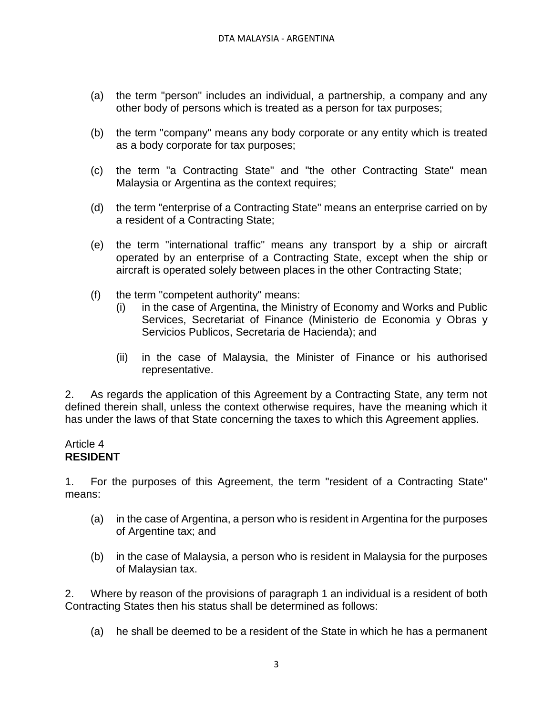- (a) the term "person" includes an individual, a partnership, a company and any other body of persons which is treated as a person for tax purposes;
- (b) the term "company" means any body corporate or any entity which is treated as a body corporate for tax purposes;
- (c) the term "a Contracting State" and "the other Contracting State" mean Malaysia or Argentina as the context requires;
- (d) the term "enterprise of a Contracting State" means an enterprise carried on by a resident of a Contracting State;
- (e) the term "international traffic" means any transport by a ship or aircraft operated by an enterprise of a Contracting State, except when the ship or aircraft is operated solely between places in the other Contracting State;
- (f) the term "competent authority" means:
	- (i) in the case of Argentina, the Ministry of Economy and Works and Public Services, Secretariat of Finance (Ministerio de Economia y Obras y Servicios Publicos, Secretaria de Hacienda); and
	- (ii) in the case of Malaysia, the Minister of Finance or his authorised representative.

2. As regards the application of this Agreement by a Contracting State, any term not defined therein shall, unless the context otherwise requires, have the meaning which it has under the laws of that State concerning the taxes to which this Agreement applies.

#### Article 4 **RESIDENT**

1. For the purposes of this Agreement, the term "resident of a Contracting State" means:

- (a) in the case of Argentina, a person who is resident in Argentina for the purposes of Argentine tax; and
- (b) in the case of Malaysia, a person who is resident in Malaysia for the purposes of Malaysian tax.

2. Where by reason of the provisions of paragraph 1 an individual is a resident of both Contracting States then his status shall be determined as follows:

(a) he shall be deemed to be a resident of the State in which he has a permanent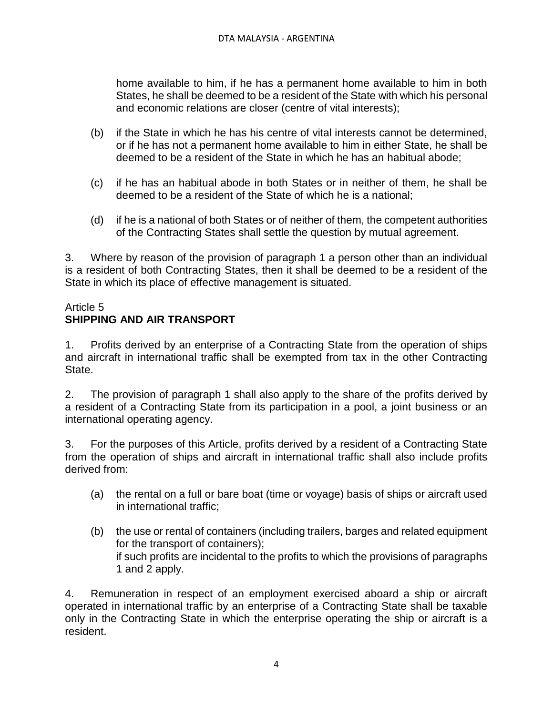home available to him, if he has a permanent home available to him in both States, he shall be deemed to be a resident of the State with which his personal and economic relations are closer (centre of vital interests);

- (b) if the State in which he has his centre of vital interests cannot be determined, or if he has not a permanent home available to him in either State, he shall be deemed to be a resident of the State in which he has an habitual abode;
- (c) if he has an habitual abode in both States or in neither of them, he shall be deemed to be a resident of the State of which he is a national;
- (d) if he is a national of both States or of neither of them, the competent authorities of the Contracting States shall settle the question by mutual agreement.

3. Where by reason of the provision of paragraph 1 a person other than an individual is a resident of both Contracting States, then it shall be deemed to be a resident of the State in which its place of effective management is situated.

## Article 5 **SHIPPING AND AIR TRANSPORT**

1. Profits derived by an enterprise of a Contracting State from the operation of ships and aircraft in international traffic shall be exempted from tax in the other Contracting State.

2. The provision of paragraph 1 shall also apply to the share of the profits derived by a resident of a Contracting State from its participation in a pool, a joint business or an international operating agency.

3. For the purposes of this Article, profits derived by a resident of a Contracting State from the operation of ships and aircraft in international traffic shall also include profits derived from:

- (a) the rental on a full or bare boat (time or voyage) basis of ships or aircraft used in international traffic;
- (b) the use or rental of containers (including trailers, barges and related equipment for the transport of containers); if such profits are incidental to the profits to which the provisions of paragraphs 1 and 2 apply.

4. Remuneration in respect of an employment exercised aboard a ship or aircraft operated in international traffic by an enterprise of a Contracting State shall be taxable only in the Contracting State in which the enterprise operating the ship or aircraft is a resident.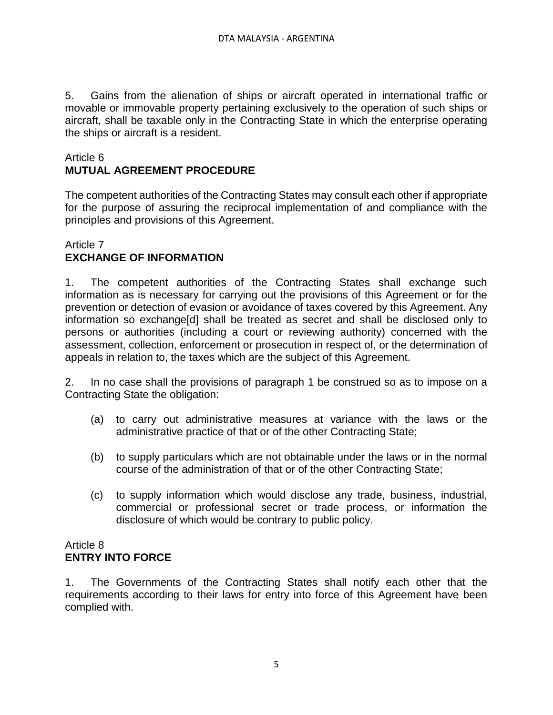5. Gains from the alienation of ships or aircraft operated in international traffic or movable or immovable property pertaining exclusively to the operation of such ships or aircraft, shall be taxable only in the Contracting State in which the enterprise operating the ships or aircraft is a resident.

## Article 6 **MUTUAL AGREEMENT PROCEDURE**

The competent authorities of the Contracting States may consult each other if appropriate for the purpose of assuring the reciprocal implementation of and compliance with the principles and provisions of this Agreement.

## Article 7 **EXCHANGE OF INFORMATION**

1. The competent authorities of the Contracting States shall exchange such information as is necessary for carrying out the provisions of this Agreement or for the prevention or detection of evasion or avoidance of taxes covered by this Agreement. Any information so exchange[d] shall be treated as secret and shall be disclosed only to persons or authorities (including a court or reviewing authority) concerned with the assessment, collection, enforcement or prosecution in respect of, or the determination of appeals in relation to, the taxes which are the subject of this Agreement.

2. In no case shall the provisions of paragraph 1 be construed so as to impose on a Contracting State the obligation:

- (a) to carry out administrative measures at variance with the laws or the administrative practice of that or of the other Contracting State;
- (b) to supply particulars which are not obtainable under the laws or in the normal course of the administration of that or of the other Contracting State;
- (c) to supply information which would disclose any trade, business, industrial, commercial or professional secret or trade process, or information the disclosure of which would be contrary to public policy.

### Article 8 **ENTRY INTO FORCE**

1. The Governments of the Contracting States shall notify each other that the requirements according to their laws for entry into force of this Agreement have been complied with.